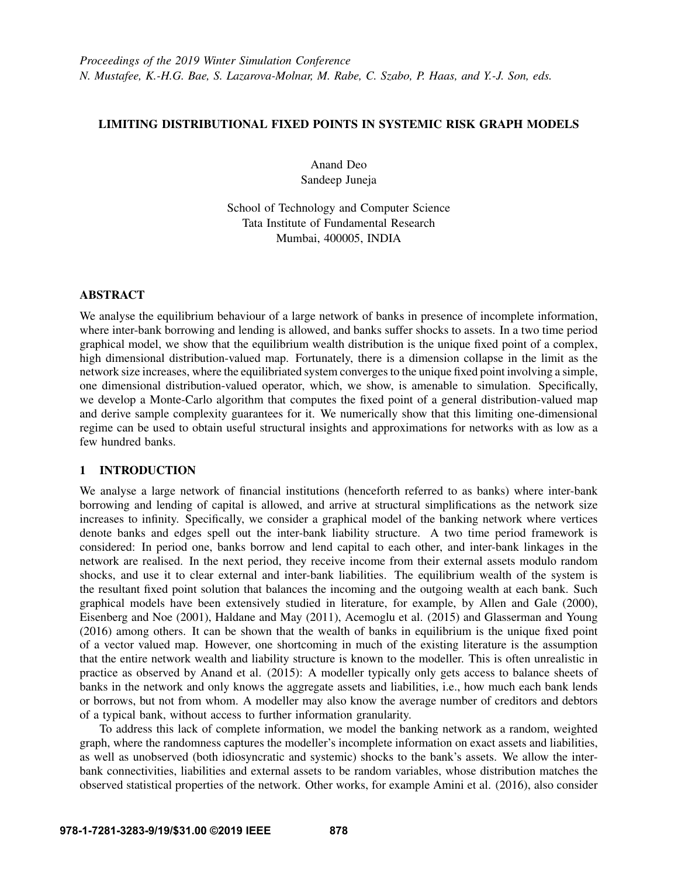# LIMITING DISTRIBUTIONAL FIXED POINTS IN SYSTEMIC RISK GRAPH MODELS

Anand Deo Sandeep Juneja

School of Technology and Computer Science Tata Institute of Fundamental Research Mumbai, 400005, INDIA

# ABSTRACT

We analyse the equilibrium behaviour of a large network of banks in presence of incomplete information, where inter-bank borrowing and lending is allowed, and banks suffer shocks to assets. In a two time period graphical model, we show that the equilibrium wealth distribution is the unique fixed point of a complex, high dimensional distribution-valued map. Fortunately, there is a dimension collapse in the limit as the network size increases, where the equilibriated system converges to the unique fixed point involving a simple, one dimensional distribution-valued operator, which, we show, is amenable to simulation. Specifically, we develop a Monte-Carlo algorithm that computes the fixed point of a general distribution-valued map and derive sample complexity guarantees for it. We numerically show that this limiting one-dimensional regime can be used to obtain useful structural insights and approximations for networks with as low as a few hundred banks.

# 1 INTRODUCTION

We analyse a large network of financial institutions (henceforth referred to as banks) where inter-bank borrowing and lending of capital is allowed, and arrive at structural simplifications as the network size increases to infinity. Specifically, we consider a graphical model of the banking network where vertices denote banks and edges spell out the inter-bank liability structure. A two time period framework is considered: In period one, banks borrow and lend capital to each other, and inter-bank linkages in the network are realised. In the next period, they receive income from their external assets modulo random shocks, and use it to clear external and inter-bank liabilities. The equilibrium wealth of the system is the resultant fixed point solution that balances the incoming and the outgoing wealth at each bank. Such graphical models have been extensively studied in literature, for example, by [Allen and Gale \(2000\),](#page-11-0) [Eisenberg and Noe \(2001\),](#page-11-1) [Haldane and May \(2011\),](#page-11-2) [Acemoglu et al. \(2015\)](#page-11-3) and [Glasserman and Young](#page-11-4) [\(2016\)](#page-11-4) among others. It can be shown that the wealth of banks in equilibrium is the unique fixed point of a vector valued map. However, one shortcoming in much of the existing literature is the assumption that the entire network wealth and liability structure is known to the modeller. This is often unrealistic in practice as observed by [Anand et al. \(2015\):](#page-11-5) A modeller typically only gets access to balance sheets of banks in the network and only knows the aggregate assets and liabilities, i.e., how much each bank lends or borrows, but not from whom. A modeller may also know the average number of creditors and debtors of a typical bank, without access to further information granularity.

To address this lack of complete information, we model the banking network as a random, weighted graph, where the randomness captures the modeller's incomplete information on exact assets and liabilities, as well as unobserved (both idiosyncratic and systemic) shocks to the bank's assets. We allow the interbank connectivities, liabilities and external assets to be random variables, whose distribution matches the observed statistical properties of the network. Other works, for example [Amini et al. \(2016\),](#page-11-6) also consider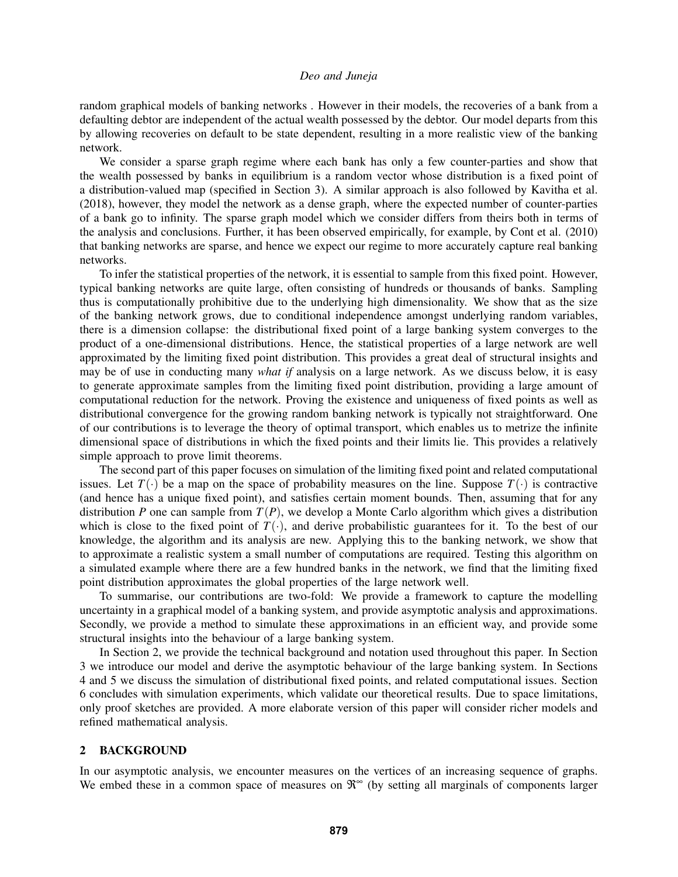random graphical models of banking networks . However in their models, the recoveries of a bank from a defaulting debtor are independent of the actual wealth possessed by the debtor. Our model departs from this by allowing recoveries on default to be state dependent, resulting in a more realistic view of the banking network.

We consider a sparse graph regime where each bank has only a few counter-parties and show that the wealth possessed by banks in equilibrium is a random vector whose distribution is a fixed point of a distribution-valued map (specified in Section 3). A similar approach is also followed by [Kavitha et al.](#page-11-7) [\(2018\),](#page-11-7) however, they model the network as a dense graph, where the expected number of counter-parties of a bank go to infinity. The sparse graph model which we consider differs from theirs both in terms of the analysis and conclusions. Further, it has been observed empirically, for example, by [Cont et al. \(2010\)](#page-11-8) that banking networks are sparse, and hence we expect our regime to more accurately capture real banking networks.

To infer the statistical properties of the network, it is essential to sample from this fixed point. However, typical banking networks are quite large, often consisting of hundreds or thousands of banks. Sampling thus is computationally prohibitive due to the underlying high dimensionality. We show that as the size of the banking network grows, due to conditional independence amongst underlying random variables, there is a dimension collapse: the distributional fixed point of a large banking system converges to the product of a one-dimensional distributions. Hence, the statistical properties of a large network are well approximated by the limiting fixed point distribution. This provides a great deal of structural insights and may be of use in conducting many *what if* analysis on a large network. As we discuss below, it is easy to generate approximate samples from the limiting fixed point distribution, providing a large amount of computational reduction for the network. Proving the existence and uniqueness of fixed points as well as distributional convergence for the growing random banking network is typically not straightforward. One of our contributions is to leverage the theory of optimal transport, which enables us to metrize the infinite dimensional space of distributions in which the fixed points and their limits lie. This provides a relatively simple approach to prove limit theorems.

The second part of this paper focuses on simulation of the limiting fixed point and related computational issues. Let  $T(\cdot)$  be a map on the space of probability measures on the line. Suppose  $T(\cdot)$  is contractive (and hence has a unique fixed point), and satisfies certain moment bounds. Then, assuming that for any distribution *P* one can sample from  $T(P)$ , we develop a Monte Carlo algorithm which gives a distribution which is close to the fixed point of  $T(\cdot)$ , and derive probabilistic guarantees for it. To the best of our knowledge, the algorithm and its analysis are new. Applying this to the banking network, we show that to approximate a realistic system a small number of computations are required. Testing this algorithm on a simulated example where there are a few hundred banks in the network, we find that the limiting fixed point distribution approximates the global properties of the large network well.

To summarise, our contributions are two-fold: We provide a framework to capture the modelling uncertainty in a graphical model of a banking system, and provide asymptotic analysis and approximations. Secondly, we provide a method to simulate these approximations in an efficient way, and provide some structural insights into the behaviour of a large banking system.

In Section 2, we provide the technical background and notation used throughout this paper. In Section 3 we introduce our model and derive the asymptotic behaviour of the large banking system. In Sections 4 and 5 we discuss the simulation of distributional fixed points, and related computational issues. Section 6 concludes with simulation experiments, which validate our theoretical results. Due to space limitations, only proof sketches are provided. A more elaborate version of this paper will consider richer models and refined mathematical analysis.

## 2 BACKGROUND

In our asymptotic analysis, we encounter measures on the vertices of an increasing sequence of graphs. We embed these in a common space of measures on  $\mathcal{R}^{\infty}$  (by setting all marginals of components larger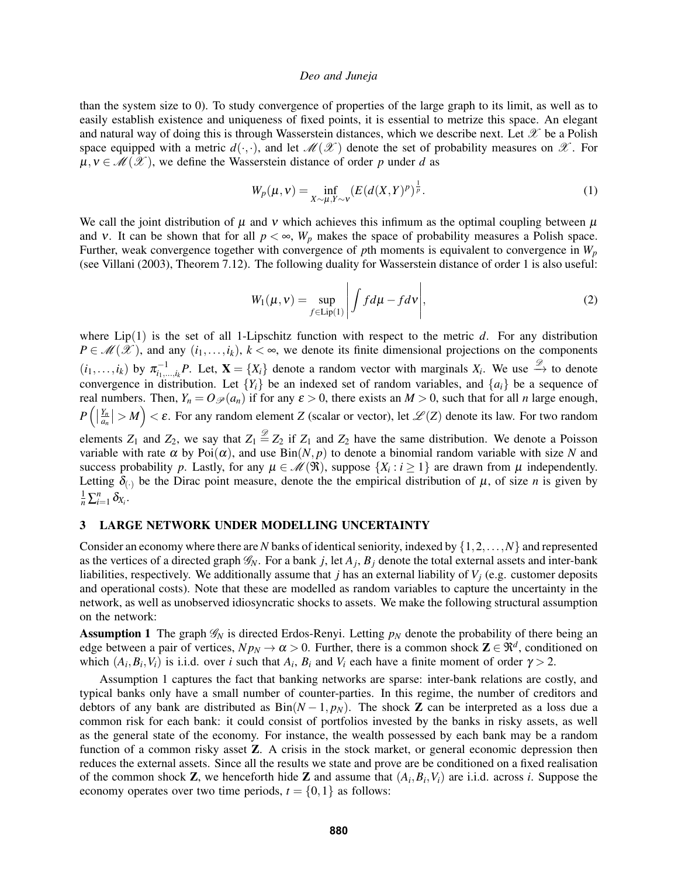than the system size to 0). To study convergence of properties of the large graph to its limit, as well as to easily establish existence and uniqueness of fixed points, it is essential to metrize this space. An elegant and natural way of doing this is through Wasserstein distances, which we describe next. Let  $\mathcal X$  be a Polish space equipped with a metric  $d(\cdot,\cdot)$ , and let  $\mathcal{M}(\mathcal{X})$  denote the set of probability measures on  $\mathcal{X}$ . For  $\mu, \nu \in \mathcal{M}(\mathcal{X})$ , we define the Wasserstein distance of order p under d as

<span id="page-2-1"></span>
$$
W_p(\mu, \nu) = \inf_{X \sim \mu, Y \sim \nu} \left( E(d(X, Y)^p)^{\frac{1}{p}} \right).
$$
 (1)

We call the joint distribution of  $\mu$  and  $\nu$  which achieves this infimum as the optimal coupling between  $\mu$ and v. It can be shown that for all  $p < \infty$ ,  $W_p$  makes the space of probability measures a Polish space. Further, weak convergence together with convergence of *p*th moments is equivalent to convergence in *W<sup>p</sup>* (see [Villani \(2003\),](#page-11-9) Theorem 7.12). The following duality for Wasserstein distance of order 1 is also useful:

<span id="page-2-2"></span>
$$
W_1(\mu, \nu) = \sup_{f \in \text{Lip}(1)} \left| \int f d\mu - f d\nu \right|, \tag{2}
$$

where Lip(1) is the set of all 1-Lipschitz function with respect to the metric *d*. For any distribution  $P \in \mathcal{M}(\mathcal{X})$ , and any  $(i_1,...,i_k)$ ,  $k < \infty$ , we denote its finite dimensional projections on the components  $(i_1,...,i_k)$  by  $\pi_{i_1,...,i_k}^{-1}P$ . Let,  $\mathbf{X} = \{X_i\}$  denote a random vector with marginals  $X_i$ . We use  $\stackrel{\mathscr{D}}{\rightarrow}$  to denote convergence in distribution. Let  ${Y_i}$  be an indexed set of random variables, and  ${a_i}$  be a sequence of real numbers. Then,  $Y_n = O_{\mathscr{P}}(a_n)$  if for any  $\varepsilon > 0$ , there exists an  $M > 0$ , such that for all *n* large enough,  $P\left(\left|\frac{Y_n}{a_n}\right|\right)$  $\left|\frac{Y_n}{a_n}\right| > M$ ) <  $\varepsilon$ . For any random element *Z* (scalar or vector), let  $\mathscr{L}(Z)$  denote its law. For two random elements  $Z_1$  and  $Z_2$ , we say that  $Z_1 \stackrel{\mathscr{D}}{=} Z_2$  if  $Z_1$  and  $Z_2$  have the same distribution. We denote a Poisson variable with rate  $\alpha$  by Poi $(\alpha)$ , and use Bin $(N, p)$  to denote a binomial random variable with size N and success probability *p*. Lastly, for any  $\mu \in \mathcal{M}(\mathfrak{R})$ , suppose  $\{X_i : i \geq 1\}$  are drawn from  $\mu$  independently. Letting  $\delta_{(.)}$  be the Dirac point measure, denote the the empirical distribution of  $\mu$ , of size *n* is given by

# $\frac{1}{n}\sum_{i=1}^n \delta_{X_i}$ .

## 3 LARGE NETWORK UNDER MODELLING UNCERTAINTY

Consider an economy where there are *N* banks of identical seniority, indexed by {1,2,...,*N*} and represented as the vertices of a directed graph  $\mathscr{G}_N$ . For a bank *j*, let  $A_j$ ,  $B_j$  denote the total external assets and inter-bank liabilities, respectively. We additionally assume that *j* has an external liability of *V<sup>j</sup>* (e.g. customer deposits and operational costs). Note that these are modelled as random variables to capture the uncertainty in the network, as well as unobserved idiosyncratic shocks to assets. We make the following structural assumption on the network:

<span id="page-2-0"></span>Assumption 1 The graph  $\mathscr{G}_N$  is directed Erdos-Renyi. Letting  $p_N$  denote the probability of there being an edge between a pair of vertices,  $N p_N \to \alpha > 0$ . Further, there is a common shock  $\mathbf{Z} \in \mathbb{R}^d$ , conditioned on which  $(A_i, B_i, V_i)$  is i.i.d. over *i* such that  $A_i$ ,  $B_i$  and  $V_i$  each have a finite moment of order  $\gamma > 2$ .

Assumption [1](#page-2-0) captures the fact that banking networks are sparse: inter-bank relations are costly, and typical banks only have a small number of counter-parties. In this regime, the number of creditors and debtors of any bank are distributed as  $Bin(N-1, p_N)$ . The shock **Z** can be interpreted as a loss due a common risk for each bank: it could consist of portfolios invested by the banks in risky assets, as well as the general state of the economy. For instance, the wealth possessed by each bank may be a random function of a common risky asset **Z**. A crisis in the stock market, or general economic depression then reduces the external assets. Since all the results we state and prove are be conditioned on a fixed realisation of the common shock  $\mathbf{Z}$ , we henceforth hide  $\mathbf{Z}$  and assume that  $(A_i, B_i, V_i)$  are i.i.d. across *i*. Suppose the economy operates over two time periods,  $t = \{0, 1\}$  as follows: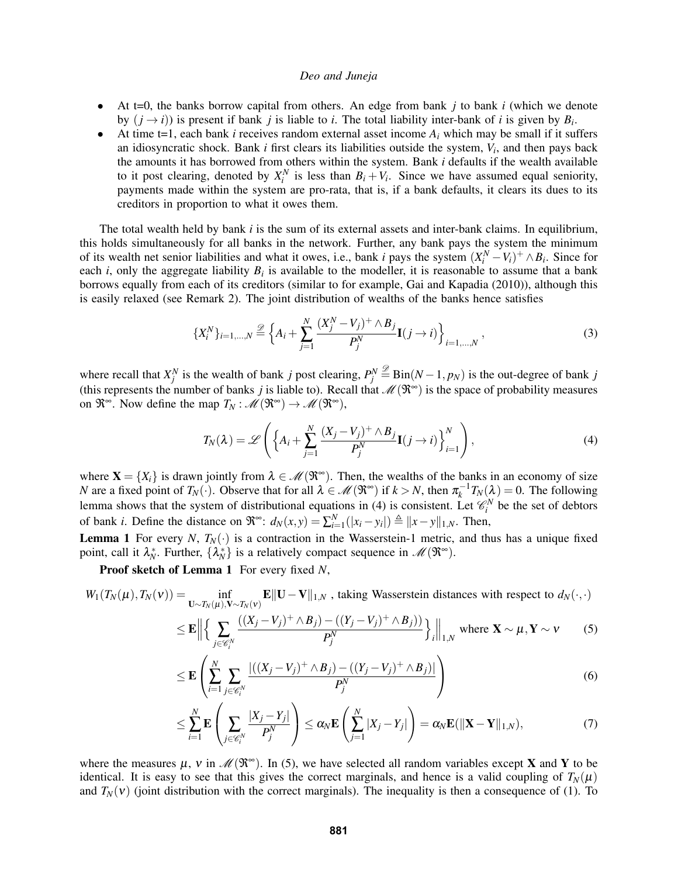- At t=0, the banks borrow capital from others. An edge from bank *j* to bank *i* (which we denote by  $(j \rightarrow i)$  is present if bank *j* is liable to *i*. The total liability inter-bank of *i* is given by  $B_i$ .
- At time t=1, each bank *i* receives random external asset income  $A_i$  which may be small if it suffers an idiosyncratic shock. Bank *i* first clears its liabilities outside the system, *V<sup>i</sup>* , and then pays back the amounts it has borrowed from others within the system. Bank *i* defaults if the wealth available to it post clearing, denoted by  $X_i^N$  is less than  $B_i + V_i$ . Since we have assumed equal seniority, payments made within the system are pro-rata, that is, if a bank defaults, it clears its dues to its creditors in proportion to what it owes them.

The total wealth held by bank *i* is the sum of its external assets and inter-bank claims. In equilibrium, this holds simultaneously for all banks in the network. Further, any bank pays the system the minimum of its wealth net senior liabilities and what it owes, i.e., bank *i* pays the system  $(X_i^N - V_i)^+ \wedge B_i$ . Since for each *i*, only the aggregate liability  $B_i$  is available to the modeller, it is reasonable to assume that a bank borrows equally from each of its creditors (similar to for example, [Gai and Kapadia \(2010\)\)](#page-11-10), although this is easily relaxed (see Remark [2\)](#page-6-0). The joint distribution of wealths of the banks hence satisfies

$$
\{X_i^N\}_{i=1,\dots,N} \stackrel{\mathscr{D}}{=} \left\{ A_i + \sum_{j=1}^N \frac{(X_j^N - V_j)^+ \wedge B_j}{P_j^N} \mathbf{I}(j \to i) \right\}_{i=1,\dots,N},\tag{3}
$$

where recall that  $X_j^N$  is the wealth of bank *j* post clearing,  $P_j^N \stackrel{\mathscr{D}}{=} \text{Bin}(N-1, p_N)$  is the out-degree of bank *j* (this represents the number of banks *j* is liable to). Recall that  $\mathcal{M}(\mathfrak{R}^{\infty})$  is the space of probability measures on  $\mathfrak{R}^{\infty}$ . Now define the map  $T_N : \mathscr{M}(\mathfrak{R}^{\infty}) \to \mathscr{M}(\mathfrak{R}^{\infty})$ ,

<span id="page-3-0"></span>
$$
T_N(\lambda) = \mathscr{L}\left(\left\{A_i + \sum_{j=1}^N \frac{(X_j - V_j)^+ \wedge B_j}{P_j^N} \mathbf{I}(j \to i)\right\}_{i=1}^N\right),\tag{4}
$$

where  $X = \{X_i\}$  is drawn jointly from  $\lambda \in \mathcal{M}(\mathbb{R}^{\infty})$ . Then, the wealths of the banks in an economy of size *N* are a fixed point of  $T_N(\cdot)$ . Observe that for all  $\lambda \in \mathcal{M}(\mathfrak{R}^\infty)$  if  $k > N$ , then  $\pi_k^{-1}T_N(\lambda) = 0$ . The following lemma shows that the system of distributional equations in [\(4\)](#page-3-0) is consistent. Let  $\mathcal{C}_i^N$  be the set of debtors of bank *i*. Define the distance on  $\mathfrak{R}^{\infty}$ :  $d_N(x, y) = \sum_{i=1}^N (|x_i - y_i|) \triangleq ||x - y||_{1,N}$ . Then,

<span id="page-3-1"></span>**Lemma 1** For every *N*,  $T_N(\cdot)$  is a contraction in the Wasserstein-1 metric, and thus has a unique fixed point, call it  $\lambda_N^*$ . Further,  $\{\lambda_N^*\}$  is a relatively compact sequence in  $\mathscr{M}(\mathfrak{R}^\infty)$ .

Proof sketch of Lemma [1](#page-3-1) For every fixed *N*,

$$
W_1(T_N(\mu), T_N(\nu)) = \inf_{\mathbf{U} \sim T_N(\mu), \mathbf{V} \sim T_N(\nu)} \mathbf{E} \|\mathbf{U} - \mathbf{V}\|_{1,N}
$$
, taking Wasserstein distances with respect to  $d_N(\cdot, \cdot)$ 

<span id="page-3-2"></span>
$$
\leq \mathbf{E} \Big\| \Big\{ \sum_{j \in \mathscr{C}_i^N} \frac{((X_j - V_j)^+ \wedge B_j) - ((Y_j - V_j)^+ \wedge B_j))}{P_j^N} \Big\} \Big\|_{1,N} \text{ where } \mathbf{X} \sim \mu, \mathbf{Y} \sim \mathbf{V} \qquad (5)
$$

<span id="page-3-3"></span>
$$
\leq \mathbf{E}\left(\sum_{i=1}^{N}\sum_{j\in\mathscr{C}_{i}^{N}}\frac{\left|\left((X_{j}-V_{j})^{+}\wedge B_{j}\right)-\left((Y_{j}-V_{j})^{+}\wedge B_{j}\right)\right|}{P_{j}^{N}}\right) \tag{6}
$$

<span id="page-3-4"></span>
$$
\leq \sum_{i=1}^N \mathbf{E}\left(\sum_{j \in \mathscr{C}_i^N} \frac{|X_j - Y_j|}{P_j^N}\right) \leq \alpha_N \mathbf{E}\left(\sum_{j=1}^N |X_j - Y_j|\right) = \alpha_N \mathbf{E}(\|\mathbf{X} - \mathbf{Y}\|_{1,N}),\tag{7}
$$

where the measures  $\mu$ , v in  $\mathcal{M}(\mathfrak{R}^{\infty})$ . In [\(5\)](#page-3-2), we have selected all random variables except **X** and **Y** to be identical. It is easy to see that this gives the correct marginals, and hence is a valid coupling of  $T_N(\mu)$ and  $T_N(v)$  (joint distribution with the correct marginals). The inequality is then a consequence of [\(1\)](#page-2-1). To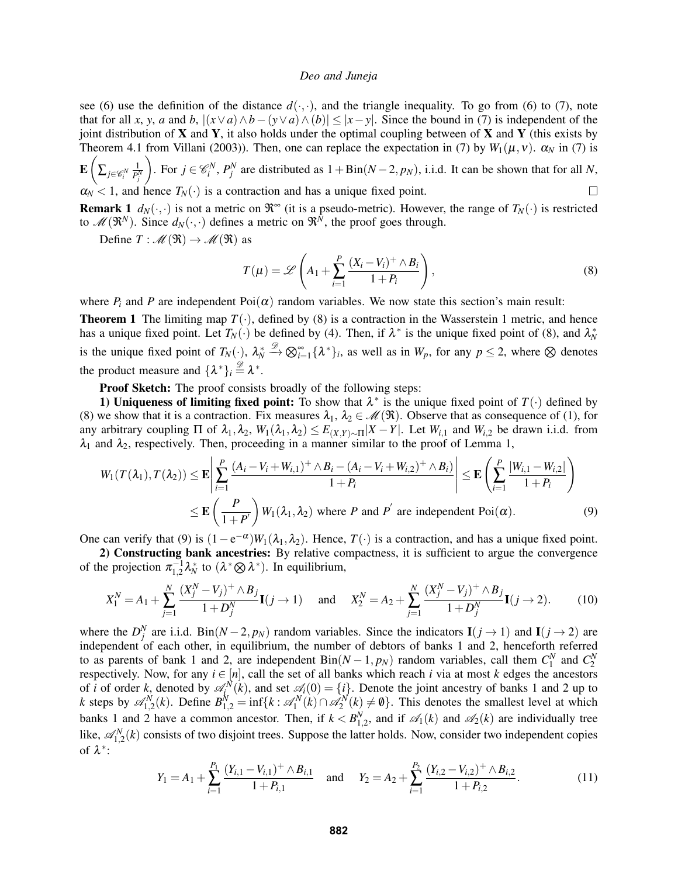see [\(6\)](#page-3-3) use the definition of the distance  $d(\cdot,\cdot)$ , and the triangle inequality. To go from (6) to [\(7\)](#page-3-4), note that for all *x*, *y*, *a* and *b*,  $|(x \vee a) \wedge b - (y \vee a) \wedge (b)| \le |x - y|$ . Since the bound in [\(7\)](#page-3-4) is independent of the joint distribution of  $X$  and  $Y$ , it also holds under the optimal coupling between of  $X$  and  $Y$  (this exists by Theorem 4.1 from [Villani \(2003\)\)](#page-11-9). Then, one can replace the expectation in [\(7\)](#page-3-4) by  $W_1(\mu, \nu)$ .  $\alpha_N$  in (7) is  $\mathbf{E} \Big($ 1 ). For *j* ∈  $\mathcal{C}_i^N$ ,  $P_j^N$  are distributed as 1 + Bin(*N* − 2, *p<sub>N</sub>*), i.i.d. It can be shown that for all *N*,

 $\sum_{j\in\mathscr{C}_i^N}$  $\overline{P_j^N}$  $\alpha_N < 1$ , and hence  $T_N(\cdot)$  is a contraction and has a unique fixed point.  $\Box$ 

**Remark 1**  $d_N(\cdot, \cdot)$  is not a metric on  $\mathbb{R}^{\infty}$  (it is a pseudo-metric). However, the range of  $T_N(\cdot)$  is restricted to  $\mathcal{M}(\mathfrak{R}^N)$ . Since  $d_N(\cdot,\cdot)$  defines a metric on  $\mathfrak{R}^N$ , the proof goes through.

Define  $T: \mathcal{M}(\mathfrak{R}) \to \mathcal{M}(\mathfrak{R})$  as

<span id="page-4-1"></span><span id="page-4-0"></span>
$$
T(\mu) = \mathscr{L}\left(A_1 + \sum_{i=1}^P \frac{(X_i - V_i)^+ \wedge B_i}{1 + P_i}\right),\tag{8}
$$

where  $P_i$  and P are independent  $Poi(\alpha)$  random variables. We now state this section's main result:

<span id="page-4-3"></span>**Theorem 1** The limiting map  $T(\cdot)$ , defined by [\(8\)](#page-4-0) is a contraction in the Wasserstein 1 metric, and hence has a unique fixed point. Let  $T_N(\cdot)$  be defined by [\(4\)](#page-3-0). Then, if  $\lambda^*$  is the unique fixed point of [\(8\)](#page-4-0), and  $\lambda^*_N$ is the unique fixed point of  $T_N(\cdot)$ ,  $\lambda_N^*$  $\overset{\mathscr{D}}{\rightarrow} \bigotimes_{i=1}^{\infty} {\{\lambda^*\}_i}$ , as well as in  $W_p$ , for any  $p \leq 2$ , where  $\otimes$  denotes the product measure and  $\{\lambda^*\}_i \stackrel{\mathscr{D}}{=} \lambda^*$ .

Proof Sketch: The proof consists broadly of the following steps:

1) Uniqueness of limiting fixed point: To show that  $\lambda^*$  is the unique fixed point of  $T(\cdot)$  defined by [\(8\)](#page-4-0) we show that it is a contraction. Fix measures  $\lambda_1, \lambda_2 \in \mathcal{M}(\mathfrak{R})$ . Observe that as consequence of [\(1\)](#page-2-1), for any arbitrary coupling  $\Pi$  of  $\lambda_1, \lambda_2, W_1(\lambda_1, \lambda_2) \leq E_{(X,Y) \sim \Pi} |X - Y|$ . Let  $W_{i,1}$  and  $W_{i,2}$  be drawn i.i.d. from  $\lambda_1$  and  $\lambda_2$ , respectively. Then, proceeding in a manner similar to the proof of Lemma [1,](#page-3-1)

$$
W_1(T(\lambda_1), T(\lambda_2)) \le \mathbf{E} \left| \sum_{i=1}^P \frac{(A_i - V_i + W_{i,1})^+ \wedge B_i - (A_i - V_i + W_{i,2})^+ \wedge B_i)}{1 + P_i} \right| \le \mathbf{E} \left( \sum_{i=1}^P \frac{|W_{i,1} - W_{i,2}|}{1 + P_i} \right)
$$
  
 
$$
\le \mathbf{E} \left( \frac{P}{1 + P'} \right) W_1(\lambda_1, \lambda_2) \text{ where } P \text{ and } P' \text{ are independent } \text{Poi}(\alpha).
$$
 (9)

One can verify that [\(9\)](#page-4-1) is  $(1 - e^{-\alpha})W_1(\lambda_1, \lambda_2)$ . Hence,  $T(\cdot)$  is a contraction, and has a unique fixed point.

2) Constructing bank ancestries: By relative compactness, it is sufficient to argue the convergence of the projection  $\pi_{1,2}^{-1} \lambda_N^*$  to  $(\lambda^* \otimes \lambda^*)$ . In equilibrium,

$$
X_1^N = A_1 + \sum_{j=1}^N \frac{(X_j^N - V_j)^+ \wedge B_j}{1 + D_j^N} \mathbf{I}(j \to 1) \quad \text{and} \quad X_2^N = A_2 + \sum_{j=1}^N \frac{(X_j^N - V_j)^+ \wedge B_j}{1 + D_j^N} \mathbf{I}(j \to 2). \tag{10}
$$

where the  $D_j^N$  are i.i.d. Bin( $N-2$ ,  $p_N$ ) random variables. Since the indicators  $I(j \to 1)$  and  $I(j \to 2)$  are independent of each other, in equilibrium, the number of debtors of banks 1 and 2, henceforth referred to as parents of bank 1 and 2, are independent  $Bin(N-1, p_N)$  random variables, call them  $C_1^N$  and  $C_2^N$ respectively. Now, for any  $i \in [n]$ , call the set of all banks which reach *i* via at most *k* edges the ancestors of *i* of order *k*, denoted by  $\mathscr{A}_{i}^{N}(k)$ , and set  $\mathscr{A}_{i}(0) = \{i\}$ . Denote the joint ancestry of banks 1 and 2 up to *k* steps by  $\mathscr{A}_{1,2}^N(k)$ . Define  $B_{1,2}^N = \inf\{k : \mathscr{A}_1^N(k) \cap \mathscr{A}_2^N(k) \neq \emptyset\}$ . This denotes the smallest level at which banks 1 and 2 have a common ancestor. Then, if  $k < B_{1,2}^N$ , and if  $\mathscr{A}_1(k)$  and  $\mathscr{A}_2(k)$  are individually tree like,  $\mathscr{A}_{1,2}^{N}(k)$  consists of two disjoint trees. Suppose the latter holds. Now, consider two independent copies of  $\lambda^*$ :

<span id="page-4-2"></span>
$$
Y_1 = A_1 + \sum_{i=1}^{P_1} \frac{(Y_{i,1} - V_{i,1})^+ \wedge B_{i,1}}{1 + P_{i,1}} \quad \text{and} \quad Y_2 = A_2 + \sum_{i=1}^{P_2} \frac{(Y_{i,2} - V_{i,2})^+ \wedge B_{i,2}}{1 + P_{i,2}}.
$$
 (11)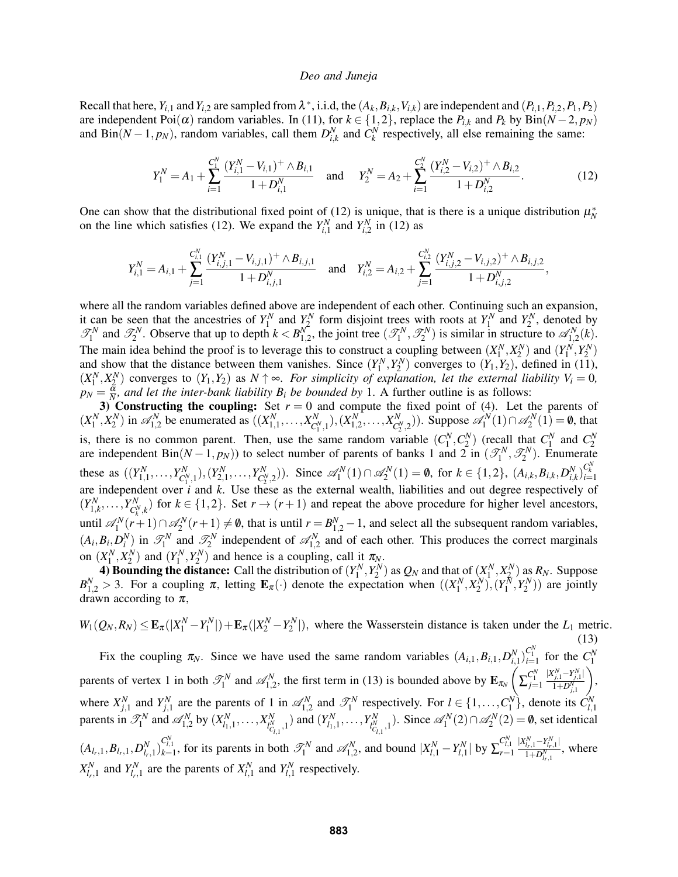Recall that here,  $Y_{i,1}$  and  $Y_{i,2}$  are sampled from  $\lambda^*$ , i.i.d, the  $(A_k, B_{i,k}, V_{i,k})$  are independent and  $(P_{i,1}, P_{i,2}, P_1, P_2)$ are independent Poi $(\alpha)$  random variables. In [\(11\)](#page-4-2), for  $k \in \{1, 2\}$ , replace the  $P_{i,k}$  and  $P_k$  by Bin( $N-2$ ,  $p_N$ ) and  $\text{Bin}(N-1, p_N)$ , random variables, call them  $D_{i,k}^N$  and  $C_k^N$  respectively, all else remaining the same:

<span id="page-5-0"></span>
$$
Y_1^N = A_1 + \sum_{i=1}^{C_1^N} \frac{(Y_{i,1}^N - V_{i,1})^+ \wedge B_{i,1}}{1 + D_{i,1}^N} \quad \text{and} \quad Y_2^N = A_2 + \sum_{i=1}^{C_2^N} \frac{(Y_{i,2}^N - V_{i,2})^+ \wedge B_{i,2}}{1 + D_{i,2}^N}.
$$
 (12)

One can show that the distributional fixed point of [\(12\)](#page-5-0) is unique, that is there is a unique distribution  $\mu_N^*$ on the line which satisfies [\(12\)](#page-5-0). We expand the  $Y_{i,1}^N$  and  $Y_{i,2}^N$  in (12) as

$$
Y_{i,1}^N = A_{i,1} + \sum_{j=1}^{C_{i,1}^N} \frac{(Y_{i,j,1}^N - V_{i,j,1})^+ \wedge B_{i,j,1}}{1 + D_{i,j,1}^N} \quad \text{and} \quad Y_{i,2}^N = A_{i,2} + \sum_{j=1}^{C_{i,2}^N} \frac{(Y_{i,j,2}^N - V_{i,j,2})^+ \wedge B_{i,j,2}}{1 + D_{i,j,2}^N},
$$

where all the random variables defined above are independent of each other. Continuing such an expansion, it can be seen that the ancestries of  $Y_1^N$  and  $Y_2^N$  form disjoint trees with roots at  $Y_1^N$  and  $Y_2^N$ , denoted by  $\mathcal{T}_1^N$  and  $\mathcal{T}_2^N$ . Observe that up to depth  $k < B_{1,2}^N$ , the joint tree  $(\mathcal{T}_1^N, \mathcal{T}_2^N)$  is similar in structure to  $\mathcal{A}_{1,2}^N(k)$ . The main idea behind the proof is to leverage this to construct a coupling between  $(X_1^N, X_2^N)$  and  $(Y_1^N, Y_2^N)$ and show that the distance between them vanishes. Since  $(Y_1^N, Y_2^N)$  converges to  $(Y_1, Y_2)$ , defined in [\(11\)](#page-4-2),  $(X_1^N, X_2^N)$  converges to  $(Y_1, Y_2)$  as  $N \uparrow \infty$ . For simplicity of explanation, let the external liability  $V_i = 0$ ,  $p_N = \frac{\tilde{\alpha}}{N}$ *, and let the inter-bank liability*  $B_i$  *be bounded by* 1. A further outline is as follows:

3) Constructing the coupling: Set  $r = 0$  and compute the fixed point of [\(4\)](#page-3-0). Let the parents of  $(X_1^N, X_2^N)$  in  $\mathcal{A}_{1,2}^N$  be enumerated as  $((X_{1,1}^N, ..., X_{C_1}^N))$  $(X_{1,2}^N, 1), (X_{1,2}^N, \ldots, X_{C_2^N}^N)$  $C_2^N$ <sub>2</sub>)). Suppose  $\mathscr{A}_1^N(1) \cap \mathscr{A}_2^N(1) = \emptyset$ , that is, there is no common parent. Then, use the same random variable  $(C_1^N, C_2^N)$  (recall that  $C_1^N$  and  $C_2^N$  are independent  $Bin(N-1, p_N)$ ) to select number of parents of banks 1 and 2 in  $(\mathcal{T}_1^N, \mathcal{T}_2^N)$ . Enumerate these as  $((Y_{1,1}^N, \ldots, Y_{C_1^N}^N))$  $(Y_{C_1}^N,1)$ ,  $(Y_{2,1}^N,\ldots,Y_{C_2^N}^N)$ *C*<sup>*N*</sup><sub>2</sub></sub>(2). Since  $\mathscr{A}_1^N(1) \cap \mathscr{A}_2^N(1) = \emptyset$ , for  $k \in \{1, 2\}$ ,  $(A_{i,k}, B_{i,k}, D_{i,k}^N)_{i=1}^{C_N^N}$ are independent over *i* and *k*. Use these as the external wealth, liabilities and out degree respectively of  $(Y_{1,k}^N, \ldots, Y_{C_k^N}^N)$  $C_{k,k}^{N}$ ) for  $k \in \{1,2\}$ . Set  $r \to (r+1)$  and repeat the above procedure for higher level ancestors, until  $\mathscr{A}_1^N(r+1) \cap \mathscr{A}_2^N(r+1) \neq \emptyset$ , that is until  $r = B_{1,2}^N - 1$ , and select all the subsequent random variables,  $(A_i, B_i, D_i^N)$  in  $\mathcal{T}_1^N$  and  $\mathcal{T}_2^N$  independent of  $\mathcal{A}_{1,2}^N$  and of each other. This produces the correct marginals on  $(X_1^N, X_2^N)$  and  $(Y_1^N, Y_2^N)$  and hence is a coupling, call it  $\pi_N$ .

4) Bounding the distance: Call the distribution of  $(Y_1^N, Y_2^N)$  as  $Q_N$  and that of  $(X_1^N, X_2^N)$  as  $R_N$ . Suppose  $B_{1,2}^N > 3$ . For a coupling  $\pi$ , letting  $\mathbf{E}_{\pi}(\cdot)$  denote the expectation when  $((X_1^N, X_2^N), (Y_1^N, Y_2^N))$  are jointly drawn according to  $\pi$ ,

<span id="page-5-1"></span> $W_1(Q_N, R_N) \leq \mathbf{E}_{\pi}(|X_1^N - Y_1^N|) + \mathbf{E}_{\pi}(|X_2^N - Y_2^N|)$ , where the Wasserstein distance is taken under the  $L_1$  metric. (13) Fix the coupling  $\pi_N$ . Since we have used the same random variables  $(A_{i,1}, B_{i,1}, D_{i,1}^N)_{i=1}^{C_1^N}$  for the  $C_1^N$ parents of vertex 1 in both  $\mathcal{T}_1^N$  and  $\mathcal{A}_{1,2}^N$ , the first term in [\(13\)](#page-5-1) is bounded above by  $\mathbf{E}_{\pi_N}$  $\sum_{j=1}^{C_1^N}$  $|X_{j,1}^N - Y_{j,1}^N|$  $1+D^{N}_{j,1}$  , where  $X_{j,1}^N$  and  $Y_{j,1}^N$  are the parents of 1 in  $\mathcal{A}_{1,2}^N$  and  $\mathcal{T}_1^N$  respectively. For  $l \in \{1, ..., C_1^N\}$ , denote its  $C_{l,1}^N$  parents in  $\mathcal{T}_1^N$  and  $\mathcal{A}_{1,2}^N$  by  $(X_{l_1,1}^N, ..., X_{l_{N-1},1}^N)$  and  $I_{C_{l,1}}^N$ , 1) and  $(Y_{l_1,1}^N, \ldots, Y_{l_{C_l}^N}^N)$  $\iota_{C_{l,1},1}^{N}$ ). Since  $\mathscr{A}_1^N(2) \cap \mathscr{A}_2^N(2) = \emptyset$ , set identical  $(A_{l_r,1}, B_{l_r,1}, D_{l_r,1}^N)$ ,  $C_{l,1}^{N}$ , for its parents in both  $\mathcal{T}_1^N$  and  $\mathcal{A}_{1,2}^N$ , and bound  $|X_{l,1}^N - Y_{l,1}^N|$  by  $\sum_{r=1}^{C_{l,1}^N}$  $|X_{l_{r},1}^{N}-Y_{l_{r},1}^{N}|$  $\frac{I_{r,1} - I_{l_r,1}!}{1 + D_{l_r,1}^N}$ , where  $X_{l_1,1}^N$  and  $Y_{l_1,1}^N$  are the parents of  $X_{l,1}^N$  and  $Y_{l,1}^N$  respectively.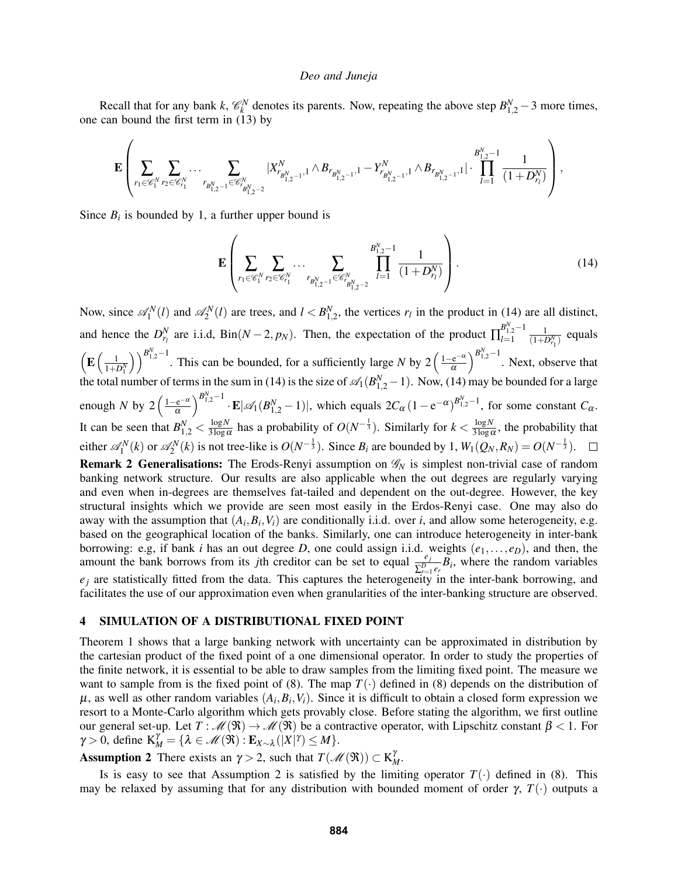Recall that for any bank *k*,  $\mathcal{C}_k^N$  denotes its parents. Now, repeating the above step  $B_{1,2}^N - 3$  more times, one can bound the first term in [\(13\)](#page-5-1) by

$$
\mathbf{E}\left(\sum_{r_1\in\mathscr{C}_1^N}\sum_{r_2\in\mathscr{C}_{r_1}^N}\dots\sum_{r_{B_{1,2}^N-1} \in\mathscr{C}_{r_{B_{1,2}^N-1}^N} \atop{f_1\geq 0}}|X_{r_{B_{1,2}^N-1}^N,1}^N\wedge B_{r_{B_{1,2}^N-1}^N,1}-Y_{r_{B_{1,2}^N-1}^N}^N,1\wedge B_{r_{B_{1,2}^N-1}^N,1}|\cdot\prod_{l=1}^{B_{1,2}^N-1}\frac{1}{(1+D_{r_l}^N)}\right),
$$

Since  $B_i$  is bounded by 1, a further upper bound is

<span id="page-6-1"></span>
$$
\mathbf{E}\left(\sum_{r_1\in\mathscr{C}_1^N}\sum_{r_2\in\mathscr{C}_{r_1}^N}\cdots\sum_{r_{B_{1,2}^N-1}\in\mathscr{C}_{r_{B_{1,2}^N-2}^N}}\prod_{l=1}^{B_{1,2}^N-1}\frac{1}{(1+D_{r_l}^N)}\right).
$$
(14)

<span id="page-6-0"></span>Now, since  $\mathcal{A}_1^N(l)$  and  $\mathcal{A}_2^N(l)$  are trees, and  $l < B_{1,2}^N$ , the vertices  $r_l$  in the product in [\(14\)](#page-6-1) are all distinct, and hence the  $D_{r_l}^N$  are i.i.d, Bin( $N-2$ ,  $p_N$ ). Then, the expectation of the product  $\prod_{l=1}^{B_{1,2}^N-1}$  $\frac{B_{1,2}^{2}-1}{l=1}$   $\frac{1}{(1+D_{r_{1}}^{N})}$  equals  $\left( \mathbf{E} \left( \frac{1}{1+D_{1}^{N}} \right) \right)$  $\binom{B_{1,2}^N-1}{\alpha}$ . This can be bounded, for a sufficiently large *N* by 2  $\left(\frac{1-e^{-\alpha}}{\alpha}\right)$ α  $\int_{0}^{B_{1,2}^{N}-1}$ . Next, observe that the total number of terms in the sum in [\(14\)](#page-6-1) is the size of  $\mathcal{A}_1(B_{1,2}^N-1)$ . Now, (14) may be bounded for a large enough *N* by  $2\left(\frac{1-e^{-\alpha}}{\alpha}\right)$ α  $\int_{B_{1,2}^{N}-1}^{B_{1,2}^{N}-1} \cdot \mathbf{E} |\mathscr{A}_1(B_{1,2}^N-1)|$ , which equals  $2C_{\alpha}(1-e^{-\alpha})^{B_{1,2}^N-1}$ , for some constant  $C_{\alpha}$ . It can be seen that  $B_{1,2}^N < \frac{\log N}{3 \log n}$  $\frac{\log N}{3\log \alpha}$  has a probability of  $O(N^{-\frac{1}{3}})$ . Similarly for  $k < \frac{\log N}{3\log \alpha}$  $\frac{\log N}{3\log \alpha}$ , the probability that either  $\mathscr{A}_1^N(k)$  or  $\mathscr{A}_2^N(k)$  is not tree-like is  $O(N^{-\frac{1}{3}})$ . Since  $B_i$  are bounded by 1,  $W_1(Q_N,R_N) = O(N^{-\frac{1}{3}})$ . Remark 2 Generalisations: The Erods-Renyi assumption on  $\mathcal{G}_N$  is simplest non-trivial case of random banking network structure. Our results are also applicable when the out degrees are regularly varying and even when in-degrees are themselves fat-tailed and dependent on the out-degree. However, the key structural insights which we provide are seen most easily in the Erdos-Renyi case. One may also do away with the assumption that  $(A_i, B_i, V_i)$  are conditionally i.i.d. over *i*, and allow some heterogeneity, e.g. based on the geographical location of the banks. Similarly, one can introduce heterogeneity in inter-bank borrowing: e.g, if bank *i* has an out degree *D*, one could assign i.i.d. weights  $(e_1, \ldots, e_D)$ , and then, the amount the bank borrows from its *j*th creditor can be set to equal  $\frac{e_j}{\sum_{r=1}^D e_r} B_i$ , where the random variables  $e_j$  are statistically fitted from the data. This captures the heterogeneity in the inter-bank borrowing, and facilitates the use of our approximation even when granularities of the inter-banking structure are observed.

# 4 SIMULATION OF A DISTRIBUTIONAL FIXED POINT

Theorem [1](#page-4-3) shows that a large banking network with uncertainty can be approximated in distribution by the cartesian product of the fixed point of a one dimensional operator. In order to study the properties of the finite network, it is essential to be able to draw samples from the limiting fixed point. The measure we want to sample from is the fixed point of [\(8\)](#page-4-0). The map  $T(\cdot)$  defined in (8) depends on the distribution of  $\mu$ , as well as other random variables  $(A_i, B_i, V_i)$ . Since it is difficult to obtain a closed form expression we resort to a Monte-Carlo algorithm which gets provably close. Before stating the algorithm, we first outline our general set-up. Let  $T: \mathcal{M}(\mathfrak{R}) \to \mathcal{M}(\mathfrak{R})$  be a contractive operator, with Lipschitz constant  $\beta < 1$ . For  $\gamma > 0$ , define  $K_M^{\gamma^*} = {\lambda \in \mathcal{M}(\mathfrak{R}) : \mathbf{E}_{X \sim \lambda}(|X|^{\gamma}) \leq M}.$ 

<span id="page-6-2"></span>**Assumption 2** There exists an  $\gamma > 2$ , such that  $T(\mathcal{M}(\mathfrak{R})) \subset K_M^{\gamma}$ .

Is is easy to see that Assumption [2](#page-6-2) is satisfied by the limiting operator  $T(\cdot)$  defined in [\(8\)](#page-4-0). This may be relaxed by assuming that for any distribution with bounded moment of order  $\gamma$ ,  $T(\cdot)$  outputs a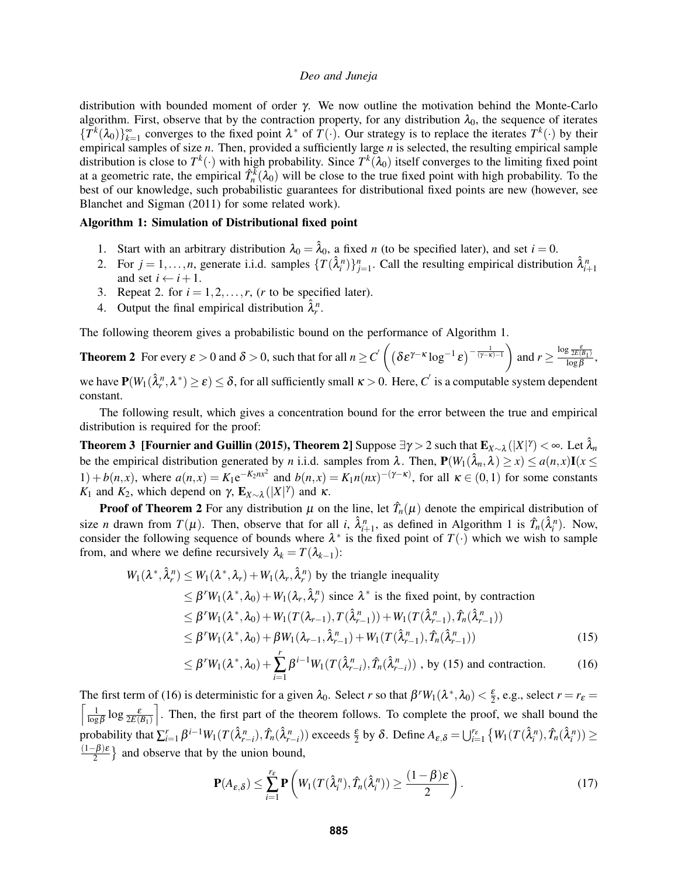distribution with bounded moment of order γ. We now outline the motivation behind the Monte-Carlo algorithm. First, observe that by the contraction property, for any distribution  $\lambda_0$ , the sequence of iterates  ${T^k(\lambda_0)}_{k=1}^{\infty}$  converges to the fixed point  $\lambda^*$  of  $T(\cdot)$ . Our strategy is to replace the iterates  $T^k(\cdot)$  by their empirical samples of size *n*. Then, provided a sufficiently large *n* is selected, the resulting empirical sample distribution is close to  $T^k(\cdot)$  with high probability. Since  $T^k(\lambda_0)$  itself converges to the limiting fixed point at a geometric rate, the empirical  $\hat{T}_n^{\bar{k}}(\lambda_0)$  will be close to the true fixed point with high probability. To the best of our knowledge, such probabilistic guarantees for distributional fixed points are new (however, see [Blanchet and Sigman \(2011\)](#page-11-11) for some related work).

#### Algorithm 1: Simulation of Distributional fixed point

- 1. Start with an arbitrary distribution  $\lambda_0 = \hat{\lambda}_0$ , a fixed *n* (to be specified later), and set  $i = 0$ .
- 2. For  $j = 1, \ldots, n$ , generate i.i.d. samples  $\{T(\hat{\lambda}_i^n)\}_{j=1}^n$ . Call the resulting empirical distribution  $\hat{\lambda}_{i+1}^n$ and set  $i \leftarrow i + 1$ .
- 3. Repeat 2. for  $i = 1, 2, \ldots, r$ , (*r* to be specified later).
- 4. Output the final empirical distribution  $\hat{\lambda}_r^n$ .

The following theorem gives a probabilistic bound on the performance of Algorithm 1.

<span id="page-7-0"></span>**Theorem 2** For every  $\varepsilon > 0$  and  $\delta > 0$ , such that for all  $n \ge C' \left( \left( \delta \varepsilon^{\gamma-\kappa} \log^{-1} \varepsilon \right)^{-\frac{1}{(\gamma-\kappa)-1}} \right)$  and  $r \ge \frac{\log \frac{\varepsilon}{2E(B_1)}}{\log \beta}$ ,

we have  $P(W_1(\hat{\lambda}_r^n, \lambda^*) \ge \varepsilon) \le \delta$ , for all sufficiently small  $\kappa > 0$ . Here,  $C'$  is a computable system dependent constant.

The following result, which gives a concentration bound for the error between the true and empirical distribution is required for the proof:

<span id="page-7-4"></span>Theorem 3 [\[Fournier and Guillin \(2015\),](#page-11-12) Theorem 2] Suppose  $\exists \gamma>2$  such that  $\mathbf{E}_{X\sim\lambda}(|X|^\gamma)<\infty$ . Let  $\hat{\lambda}_n$ be the empirical distribution generated by *n* i.i.d. samples from  $\lambda$ . Then,  $P(W_1(\hat{\lambda}_n, \lambda) \ge x) \le a(n, x)I(x \le x)$ 1) +  $b(n,x)$ , where  $a(n,x) = K_1 e^{-K_2 n x^2}$  and  $b(n,x) = K_1 n(nx)^{-(\gamma-\kappa)}$ , for all  $\kappa \in (0,1)$  for some constants *K*<sub>1</sub> and *K*<sub>2</sub>, which depend on γ,  $\mathbf{E}_{X \sim \lambda}(|X|^{\gamma})$  and *κ*.

**Proof of Theorem [2](#page-7-0)** For any distribution  $\mu$  on the line, let  $\hat{T}_n(\mu)$  denote the empirical distribution of size *n* drawn from  $T(\mu)$ . Then, observe that for all *i*,  $\hat{\lambda}_{i+1}^n$ , as defined in Algorithm 1 is  $\hat{T}_n(\hat{\lambda}_i^n)$ . Now, consider the following sequence of bounds where  $\lambda^*$  is the fixed point of  $T(\cdot)$  which we wish to sample from, and where we define recursively  $\lambda_k = T(\lambda_{k-1})$ :

$$
W_1(\lambda^*, \hat{\lambda}_r^n) \le W_1(\lambda^*, \lambda_r) + W_1(\lambda_r, \hat{\lambda}_r^n) \text{ by the triangle inequality}
$$
  
\n
$$
\le \beta^r W_1(\lambda^*, \lambda_0) + W_1(\lambda_r, \hat{\lambda}_r^n) \text{ since } \lambda^* \text{ is the fixed point, by contraction}
$$
  
\n
$$
\le \beta^r W_1(\lambda^*, \lambda_0) + W_1(T(\lambda_{r-1}), T(\hat{\lambda}_{r-1}^n)) + W_1(T(\hat{\lambda}_{r-1}^n), \hat{T}_n(\hat{\lambda}_{r-1}^n))
$$
  
\n
$$
\le \beta^r W_1(\lambda^*, \lambda_0) + \beta W_1(\lambda_{r-1}, \hat{\lambda}_{r-1}^n) + W_1(T(\hat{\lambda}_{r-1}^n), \hat{T}_n(\hat{\lambda}_{r-1}^n))
$$
  
\n
$$
< \beta^r W_1(\lambda^*, \lambda_0) + \sum_{r=1}^r \beta^{i-1} W_1(T(\hat{\lambda}_r^n, \lambda_r^n)) + W_1(T(\hat{\lambda}_{r-1}^n))
$$

$$
\leq \beta^r W_1(\lambda^*, \lambda_0) + \sum_{i=1}^r \beta^{i-1} W_1(T(\hat{\lambda}_{r-i}^n), \hat{T}_n(\hat{\lambda}_{r-i}^n))
$$
, by (15) and contraction. (16)

The first term of [\(16\)](#page-7-2) is deterministic for a given  $\lambda_0$ . Select *r* so that  $\beta^r W_1(\lambda^*, \lambda_0) < \frac{\varepsilon}{2}$ , e.g., select  $r = r_{\varepsilon} =$  $\lceil$   $\lceil$   $\lceil$  $\frac{1}{\log\beta}\log\frac{\varepsilon}{2E(B_1)}$ m . Then, the first part of the theorem follows. To complete the proof, we shall bound the probability that  $\sum_{i=1}^r \beta^{i-1} W_1(T(\hat{\lambda}_{r-i}^n), \hat{T}_n(\hat{\lambda}_{r-i}^n))$  exceeds  $\frac{\varepsilon}{2}$  by  $\delta$ . Define  $A_{\varepsilon,\delta} = \bigcup_{i=1}^{r_{\varepsilon}} \{W_1(T(\hat{\lambda}_i^n), \hat{T}_n(\hat{\lambda}_i^n)) \geq$ (1−β)ε  $\left\{\frac{-\beta}{2}\right\}$  and observe that by the union bound,

<span id="page-7-3"></span><span id="page-7-2"></span><span id="page-7-1"></span>
$$
\mathbf{P}(A_{\varepsilon,\delta}) \le \sum_{i=1}^{r_{\varepsilon}} \mathbf{P}\left(W_1(T(\hat{\lambda}_i^n), \hat{T}_n(\hat{\lambda}_i^n)) \ge \frac{(1-\beta)\varepsilon}{2}\right).
$$
 (17)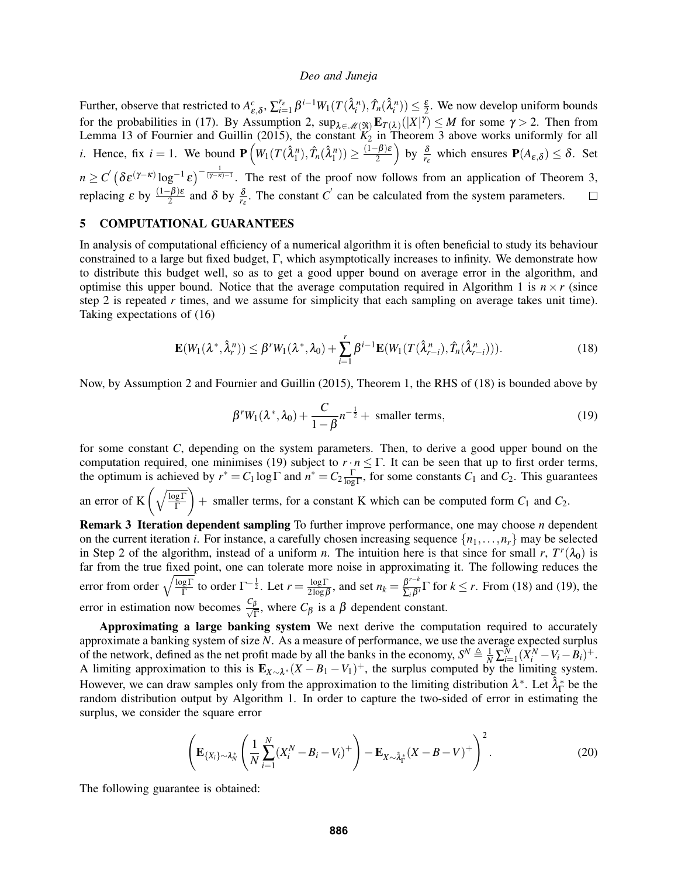Further, observe that restricted to  $A_{\varepsilon,\delta}^c$ ,  $\sum_{i=1}^{r_{\varepsilon}} \beta^{i-1} W_1(T(\hat{\lambda}_i^n), \hat{T}_n(\hat{\lambda}_i^n)) \leq \frac{\varepsilon}{2}$ . We now develop uniform bounds  $\varepsilon, \delta$ <sup>2</sup>,  $\mathcal{L}_{i=1}$   $\mathcal{V}$   $W_1$  ( $\mathcal{L}$   $(\mathcal{L}_i)$ ,  $\mathcal{L}_n$   $(\mathcal{L}_i)$ )  $\geq \frac{1}{2}$ for the probabilities in [\(17\)](#page-7-3). By Assumption [2,](#page-6-2)  $\sup_{\lambda \in \mathcal{M}(\mathfrak{R})} \mathbf{E}_{T(\lambda)}(|X|^{\gamma}) \leq M$  for some  $\gamma > 2$ . Then from Lemma 13 of [Fournier and Guillin \(2015\),](#page-11-12) the constant  $K_2$  in Theorem 3 above works uniformly for all *i*. Hence, fix  $i = 1$ . We bound  $\mathbf{P}\left(W_1(T(\hat{\lambda}_1^n), \hat{T}_n(\hat{\lambda}_1^n)) \ge \frac{(1-\beta)\varepsilon}{2}\right)$  $\left(\frac{-\beta}{2}\right)$  by  $\frac{\delta}{r_{\varepsilon}}$  which ensures  $\mathbf{P}(A_{\varepsilon,\delta}) \leq \delta$ . Set  $n \ge C' \left(\delta \varepsilon^{(\gamma-\kappa)} \log^{-1} \varepsilon \right)^{-\frac{1}{(\gamma-\kappa)-1}}$ . The rest of the proof now follows from an application of Theorem [3,](#page-7-4) replacing  $\epsilon$  by  $\frac{(1-\beta)\epsilon}{2}$  and  $\delta$  by  $\frac{\delta}{r_{\epsilon}}$ . The constant *C*<sup>'</sup> can be calculated from the system parameters.  $\Box$ 

# 5 COMPUTATIONAL GUARANTEES

In analysis of computational efficiency of a numerical algorithm it is often beneficial to study its behaviour constrained to a large but fixed budget, Γ, which asymptotically increases to infinity. We demonstrate how to distribute this budget well, so as to get a good upper bound on average error in the algorithm, and optimise this upper bound. Notice that the average computation required in Algorithm 1 is  $n \times r$  (since step 2 is repeated *r* times, and we assume for simplicity that each sampling on average takes unit time). Taking expectations of [\(16\)](#page-7-2)

<span id="page-8-0"></span>
$$
\mathbf{E}(W_1(\lambda^*, \hat{\lambda}_r^n)) \le \beta^r W_1(\lambda^*, \lambda_0) + \sum_{i=1}^r \beta^{i-1} \mathbf{E}(W_1(T(\hat{\lambda}_{r-i}^n), \hat{T}_n(\hat{\lambda}_{r-i}^n))).
$$
\n(18)

Now, by Assumption [2](#page-6-2) and [Fournier and Guillin \(2015\),](#page-11-12) Theorem 1, the RHS of [\(18\)](#page-8-0) is bounded above by

<span id="page-8-1"></span>
$$
\beta^r W_1(\lambda^*, \lambda_0) + \frac{C}{1 - \beta} n^{-\frac{1}{2}} + \text{ smaller terms},\tag{19}
$$

for some constant *C*, depending on the system parameters. Then, to derive a good upper bound on the computation required, one minimises [\(19\)](#page-8-1) subject to  $r \cdot n \leq \Gamma$ . It can be seen that up to first order terms, the optimum is achieved by  $r^* = C_1 \log \Gamma$  and  $n^* = C_2 \frac{\Gamma}{\log \Gamma}$ , for some constants  $C_1$  and  $C_2$ . This guarantees an error of K $\left(\sqrt{\frac{\log\Gamma}{\Gamma}}\right)$  $+$  smaller terms, for a constant K which can be computed form  $C_1$  and  $C_2$ . Remark 3 Iteration dependent sampling To further improve performance, one may choose *n* dependent

<span id="page-8-2"></span>on the current iteration *i*. For instance, a carefully chosen increasing sequence  $\{n_1, \ldots, n_r\}$  may be selected in Step 2 of the algorithm, instead of a uniform *n*. The intuition here is that since for small *r*,  $T^r(\lambda_0)$  is far from the true fixed point, one can tolerate more noise in approximating it. The following reduces the error from order  $\sqrt{\frac{\log\Gamma}{\Gamma}}$  to order  $\Gamma^{-\frac{1}{2}}$ . Let  $r = \frac{\log\Gamma}{2\log f}$  $\frac{\log \Gamma}{2 \log \beta}$ , and set  $n_k = \frac{\beta^{r-k}}{\sum_i \beta^i}$  $\frac{\beta}{\sum_i \beta_i} \Gamma$  for  $k \leq r$ . From [\(18\)](#page-8-0) and [\(19\)](#page-8-1), the error in estimation now becomes √ *C*β  $\frac{\beta}{\Gamma}$ , where  $C_{\beta}$  is a  $\beta$  dependent constant.

Approximating a large banking system We next derive the computation required to accurately approximate a banking system of size *N*. As a measure of performance, we use the average expected surplus of the network, defined as the net profit made by all the banks in the economy,  $S^N \triangleq \frac{1}{N} \sum_{i=1}^N (\hat{X}_i^N - V_i - \hat{B}_i)^+$ . A limiting approximation to this is  $\mathbf{E}_{X \sim \lambda^*}(X - B_1 - V_1)^+$ , the surplus computed by the limiting system. However, we can draw samples only from the approximation to the limiting distribution  $\lambda^*$ . Let  $\hat{\lambda}^*_\Gamma$  be the random distribution output by Algorithm 1. In order to capture the two-sided of error in estimating the surplus, we consider the square error

<span id="page-8-3"></span>
$$
\left(\mathbf{E}_{\{X_i\}\sim \lambda_N^*}\left(\frac{1}{N}\sum_{i=1}^N (X_i^N - B_i - V_i)^+\right) - \mathbf{E}_{X\sim \hat{\lambda}_\Gamma^*}(X - B - V)^+\right)^2.
$$
\n(20)

The following guarantee is obtained: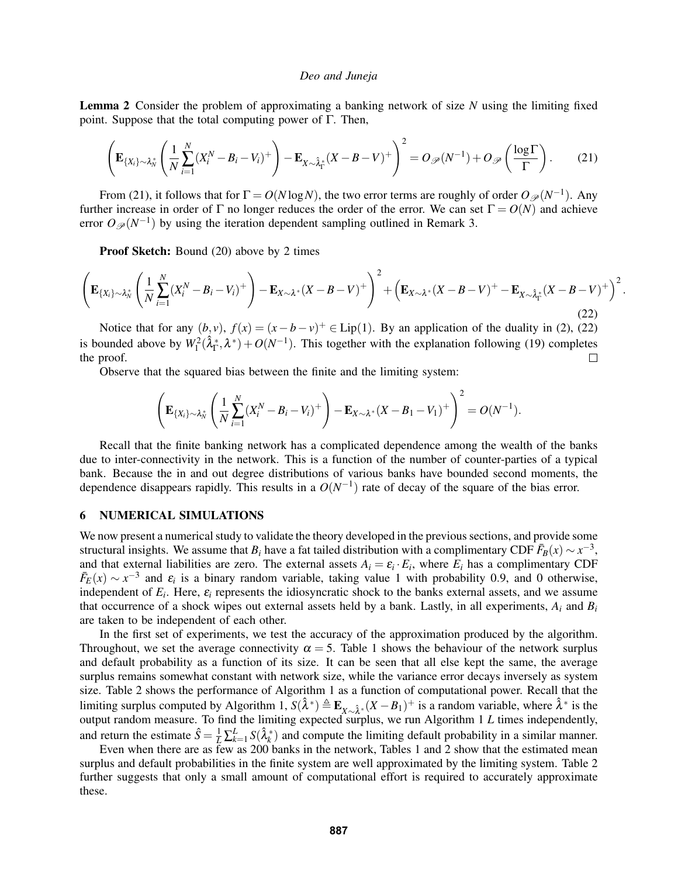Lemma 2 Consider the problem of approximating a banking network of size *N* using the limiting fixed point. Suppose that the total computing power of Γ. Then,

<span id="page-9-0"></span>
$$
\left(\mathbf{E}_{\{X_i\}\sim\lambda_N^*}\left(\frac{1}{N}\sum_{i=1}^N(X_i^N-B_i-V_i)^+\right)-\mathbf{E}_{X\sim\hat{\lambda}_\Gamma^*}(X-B-V)^+\right)^2=O_{\mathscr{P}}(N^{-1})+O_{\mathscr{P}}\left(\frac{\log\Gamma}{\Gamma}\right).
$$
 (21)

From [\(21\)](#page-9-0), it follows that for  $\Gamma = O(N \log N)$ , the two error terms are roughly of order  $O_{\mathscr{P}}(N^{-1})$ . Any further increase in order of Γ no longer reduces the order of the error. We can set  $\Gamma = O(N)$  and achieve error  $O_{\mathscr{P}}(N^{-1})$  by using the iteration dependent sampling outlined in Remark [3.](#page-8-2)

Proof Sketch: Bound [\(20\)](#page-8-3) above by 2 times

<span id="page-9-1"></span>
$$
\left(\mathbf{E}_{\{X_i\}\sim \lambda_N^*}\left(\frac{1}{N}\sum_{i=1}^N(X_i^N-B_i-V_i)^+\right)-\mathbf{E}_{X\sim \lambda^*}(X-B-V)^+\right)^2+\left(\mathbf{E}_{X\sim \lambda^*}(X-B-V)^+-\mathbf{E}_{X\sim \hat{\lambda}_\Gamma^*}(X-B-V)^+\right)^2.
$$
\n(22)

Notice that for any  $(b, v)$ ,  $f(x) = (x - b - v)^{+} \in Lip(1)$ . By an application of the duality in [\(2\)](#page-2-2), [\(22\)](#page-9-1) is bounded above by  $W_1^2(\hat{\lambda}_{\Gamma}^*, \lambda^*) + O(N^{-1})$ . This together with the explanation following [\(19\)](#page-8-1) completes the proof.  $\Box$ 

Observe that the squared bias between the finite and the limiting system:

$$
\left(\mathbf{E}_{\{X_i\}\sim \lambda_N^*}\left(\frac{1}{N}\sum_{i=1}^N (X_i^N-B_i-V_i)^+\right)-\mathbf{E}_{X\sim \lambda^*}(X-B_1-V_1)^+\right)^2=O(N^{-1}).
$$

Recall that the finite banking network has a complicated dependence among the wealth of the banks due to inter-connectivity in the network. This is a function of the number of counter-parties of a typical bank. Because the in and out degree distributions of various banks have bounded second moments, the dependence disappears rapidly. This results in a  $O(N^{-1})$  rate of decay of the square of the bias error.

## 6 NUMERICAL SIMULATIONS

We now present a numerical study to validate the theory developed in the previous sections, and provide some structural insights. We assume that  $B_i$  have a fat tailed distribution with a complimentary CDF  $\bar{F}_B(x) \sim x^{-3}$ , and that external liabilities are zero. The external assets  $A_i = \varepsilon_i \cdot E_i$ , where  $E_i$  has a complimentary CDF  $\bar{F}_E(x) \sim x^{-3}$  and  $\varepsilon_i$  is a binary random variable, taking value 1 with probability 0.9, and 0 otherwise, independent of  $E_i$ . Here,  $\varepsilon_i$  represents the idiosyncratic shock to the banks external assets, and we assume that occurrence of a shock wipes out external assets held by a bank. Lastly, in all experiments,  $A_i$  and  $B_i$ are taken to be independent of each other.

In the first set of experiments, we test the accuracy of the approximation produced by the algorithm. Throughout, we set the average connectivity  $\alpha = 5$ . Table [1](#page-10-0) shows the behaviour of the network surplus and default probability as a function of its size. It can be seen that all else kept the same, the average surplus remains somewhat constant with network size, while the variance error decays inversely as system size. Table [2](#page-10-1) shows the performance of Algorithm 1 as a function of computational power. Recall that the limiting surplus computed by Algorithm 1,  $S(\hat{\lambda}^*) \triangleq \mathbf{E}_{X \sim \hat{\lambda}^*}(X - B_1)^+$  is a random variable, where  $\hat{\lambda}^*$  is the output random measure. To find the limiting expected surplus, we run Algorithm 1 *L* times independently, and return the estimate  $\hat{S} = \frac{1}{L} \sum_{k=1}^{L} S(\hat{\lambda}_k^*)$  and compute the limiting default probability in a similar manner.

Even when there are as few as 200 banks in the network, Tables [1](#page-10-0) and [2](#page-10-1) show that the estimated mean surplus and default probabilities in the finite system are well approximated by the limiting system. Table [2](#page-10-1) further suggests that only a small amount of computational effort is required to accurately approximate these.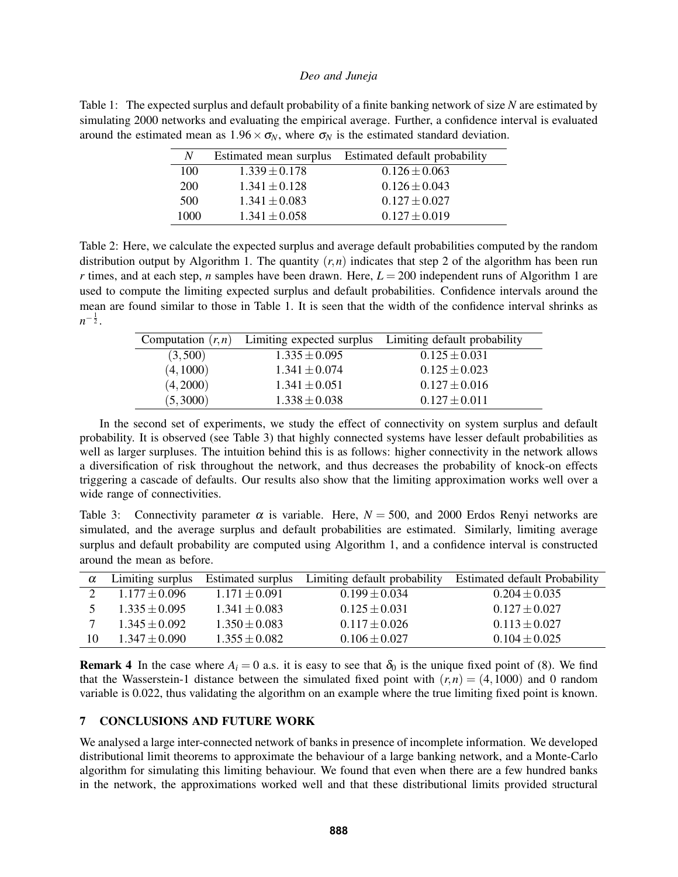<span id="page-10-0"></span>Table 1: The expected surplus and default probability of a finite banking network of size *N* are estimated by simulating 2000 networks and evaluating the empirical average. Further, a confidence interval is evaluated around the estimated mean as  $1.96 \times \sigma_N$ , where  $\sigma_N$  is the estimated standard deviation.

| N    | Estimated mean surplus | Estimated default probability |
|------|------------------------|-------------------------------|
| 100  | $1.339 \pm 0.178$      | $0.126 \pm 0.063$             |
| 200  | $1.341 \pm 0.128$      | $0.126 \pm 0.043$             |
| 500  | $1.341 \pm 0.083$      | $0.127 \pm 0.027$             |
| 1000 | $1.341 \pm 0.058$      | $0.127 \pm 0.019$             |

<span id="page-10-1"></span>Table 2: Here, we calculate the expected surplus and average default probabilities computed by the random distribution output by Algorithm 1. The quantity  $(r, n)$  indicates that step 2 of the algorithm has been run *r* times, and at each step, *n* samples have been drawn. Here,  $L = 200$  independent runs of Algorithm 1 are used to compute the limiting expected surplus and default probabilities. Confidence intervals around the mean are found similar to those in Table [1.](#page-10-0) It is seen that the width of the confidence interval shrinks as  $n^{-\frac{1}{2}}$ .

|           |                   | Computation $(r, n)$ Limiting expected surplus Limiting default probability |  |
|-----------|-------------------|-----------------------------------------------------------------------------|--|
| (3,500)   | $1.335 \pm 0.095$ | $0.125 \pm 0.031$                                                           |  |
| (4, 1000) | $1.341 \pm 0.074$ | $0.125 \pm 0.023$                                                           |  |
| (4,2000)  | $1.341 \pm 0.051$ | $0.127 \pm 0.016$                                                           |  |
| (5,3000)  | $1.338 \pm 0.038$ | $0.127 \pm 0.011$                                                           |  |
|           |                   |                                                                             |  |

In the second set of experiments, we study the effect of connectivity on system surplus and default probability. It is observed (see Table [3\)](#page-10-2) that highly connected systems have lesser default probabilities as well as larger surpluses. The intuition behind this is as follows: higher connectivity in the network allows a diversification of risk throughout the network, and thus decreases the probability of knock-on effects triggering a cascade of defaults. Our results also show that the limiting approximation works well over a wide range of connectivities.

<span id="page-10-2"></span>Table 3: Connectivity parameter  $\alpha$  is variable. Here,  $N = 500$ , and 2000 Erdos Renyi networks are simulated, and the average surplus and default probabilities are estimated. Similarly, limiting average surplus and default probability are computed using Algorithm 1, and a confidence interval is constructed around the mean as before.

| $\alpha$ |                   |                   | Limiting surplus Estimated surplus Limiting default probability | <b>Estimated default Probability</b> |
|----------|-------------------|-------------------|-----------------------------------------------------------------|--------------------------------------|
|          | $1.177 \pm 0.096$ | $1.171 \pm 0.091$ | $0.199 \pm 0.034$                                               | $0.204 \pm 0.035$                    |
|          | $1.335 \pm 0.095$ | $1.341 \pm 0.083$ | $0.125 \pm 0.031$                                               | $0.127 \pm 0.027$                    |
|          | $1.345 \pm 0.092$ | $1.350 \pm 0.083$ | $0.117 \pm 0.026$                                               | $0.113 \pm 0.027$                    |
| 10       | $1.347 \pm 0.090$ | $1.355 \pm 0.082$ | $0.106 \pm 0.027$                                               | $0.104 \pm 0.025$                    |

**Remark 4** In the case where  $A_i = 0$  a.s. it is easy to see that  $\delta_0$  is the unique fixed point of [\(8\)](#page-4-0). We find that the Wasserstein-1 distance between the simulated fixed point with  $(r, n) = (4, 1000)$  and 0 random variable is 0.022, thus validating the algorithm on an example where the true limiting fixed point is known.

## 7 CONCLUSIONS AND FUTURE WORK

We analysed a large inter-connected network of banks in presence of incomplete information. We developed distributional limit theorems to approximate the behaviour of a large banking network, and a Monte-Carlo algorithm for simulating this limiting behaviour. We found that even when there are a few hundred banks in the network, the approximations worked well and that these distributional limits provided structural